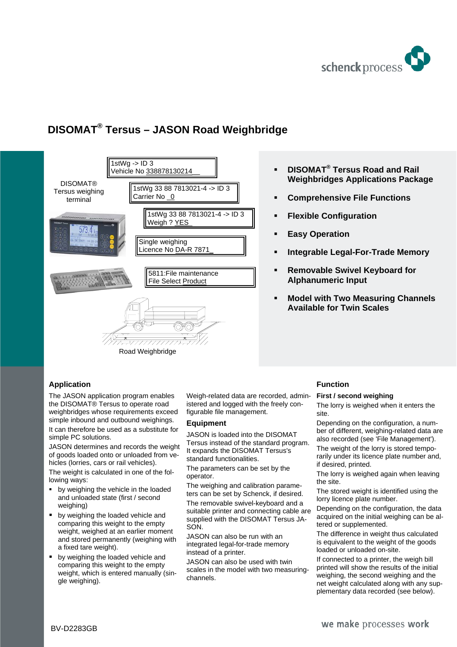

# **DISOMAT® Tersus – JASON Road Weighbridge**



- **DISOMAT® Tersus Road and Rail Weighbridges Applications Package**
- **Comprehensive File Functions**
- **Flexible Configuration**
- **Easy Operation**
- **Integrable Legal-For-Trade Memory**
- **Removable Swivel Keyboard for Alphanumeric Input**
- **Model with Two Measuring Channels Available for Twin Scales**

# **Application**

The JASON application program enables the DISOMAT® Tersus to operate road weighbridges whose requirements exceed simple inbound and outbound weighings.

It can therefore be used as a substitute for simple PC solutions.

JASON determines and records the weight of goods loaded onto or unloaded from vehicles (lorries, cars or rail vehicles).

The weight is calculated in one of the following ways:

- by weighing the vehicle in the loaded and unloaded state (first / second weighing)
- by weighing the loaded vehicle and comparing this weight to the empty weight, weighed at an earlier moment and stored permanently (weighing with a fixed tare weight).
- by weighing the loaded vehicle and comparing this weight to the empty weight, which is entered manually (single weighing).

Weigh-related data are recorded, administered and logged with the freely configurable file management.

# **Equipment**

JASON is loaded into the DISOMAT Tersus instead of the standard program. It expands the DISOMAT Tersus's standard functionalities.

The parameters can be set by the operator.

The weighing and calibration parameters can be set by Schenck, if desired.

The removable swivel-keyboard and a suitable printer and connecting cable are supplied with the DISOMAT Tersus JA-SON.

JASON can also be run with an integrated legal-for-trade memory instead of a printer.

JASON can also be used with twin scales in the model with two measuringchannels.

# **Function**

#### **First / second weighing**

The lorry is weighed when it enters the site.

Depending on the configuration, a number of different, weighing-related data are also recorded (see 'File Management'). The weight of the lorry is stored temporarily under its licence plate number and,

if desired, printed.

The lorry is weighed again when leaving the site.

The stored weight is identified using the lorry licence plate number.

Depending on the configuration, the data acquired on the initial weighing can be altered or supplemented.

The difference in weight thus calculated is equivalent to the weight of the goods loaded or unloaded on-site.

If connected to a printer, the weigh bill printed will show the results of the initial weighing, the second weighing and the net weight calculated along with any supplementary data recorded (see below).